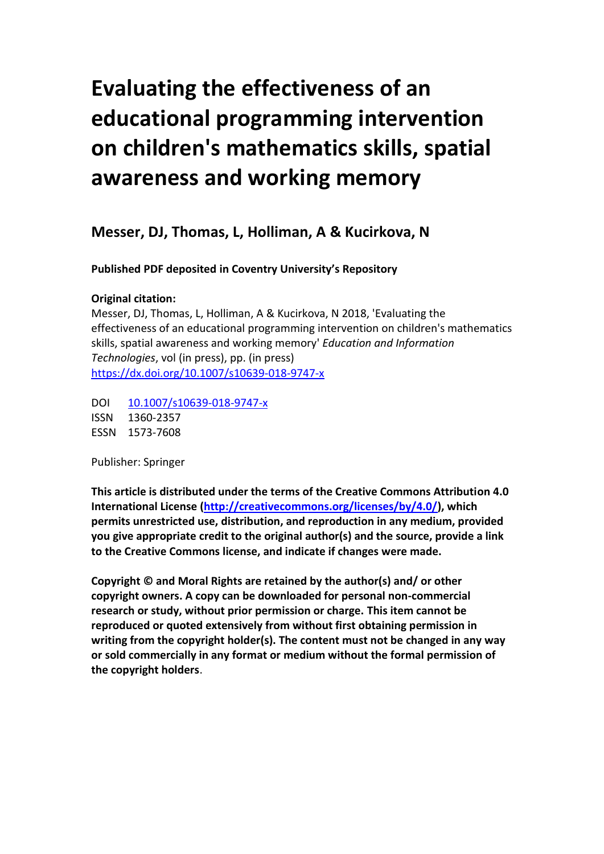# **Evaluating the effectiveness of an educational programming intervention on children's mathematics skills, spatial awareness and working memory**

## **Messer, DJ, Thomas, L, Holliman, A & Kucirkova, N**

**Published PDF deposited in Coventry University's Repository**

## **Original citation:**

Messer, DJ, Thomas, L, Holliman, A & Kucirkova, N 2018, 'Evaluating the effectiveness of an educational programming intervention on children's mathematics skills, spatial awareness and working memory' *Education and Information Technologies*, vol (in press), pp. (in press) [https://dx.doi.org/](https://dx.doi.org/%5bDOI%5d)[10.1007/s10639-018-9747-x](http://dx.doi.org/10.1007/s10639-018-9747-x)

DOI [10.1007/s10639-018-9747-x](http://dx.doi.org/10.1007/s10639-018-9747-x) ISSN 1360-2357 ESSN 1573-7608

Publisher: Springer

**This article is distributed under the terms of the Creative Commons Attribution 4.0 International License [\(http://creativecommons.org/licenses/by/4.0/\)](http://creativecommons.org/licenses/by/4.0/), which permits unrestricted use, distribution, and reproduction in any medium, provided you give appropriate credit to the original author(s) and the source, provide a link to the Creative Commons license, and indicate if changes were made.**

**Copyright © and Moral Rights are retained by the author(s) and/ or other copyright owners. A copy can be downloaded for personal non-commercial research or study, without prior permission or charge. This item cannot be reproduced or quoted extensively from without first obtaining permission in writing from the copyright holder(s). The content must not be changed in any way or sold commercially in any format or medium without the formal permission of the copyright holders**.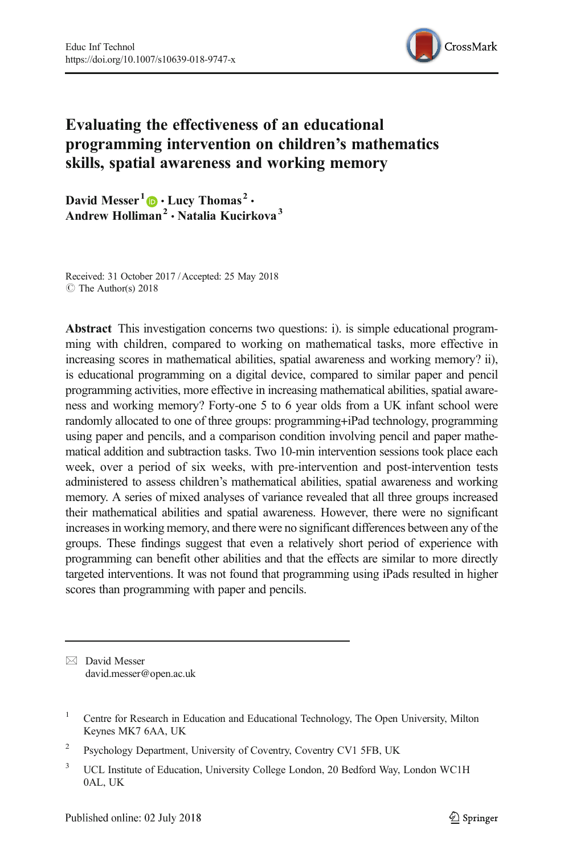

## Evaluating the effectiveness of an educational programming intervention on children's mathematics skills, spatial awareness and working memory

David Messer<sup>1</sup>  $\bullet$  Lucy Thomas<sup>2</sup>  $\cdot$ Andrew Holliman<sup>2</sup> . Natalia Kucirkova<sup>3</sup>

Received: 31 October 2017 /Accepted: 25 May 2018  $\circ$  The Author(s) 2018

Abstract This investigation concerns two questions: i). is simple educational programming with children, compared to working on mathematical tasks, more effective in increasing scores in mathematical abilities, spatial awareness and working memory? ii), is educational programming on a digital device, compared to similar paper and pencil programming activities, more effective in increasing mathematical abilities, spatial awareness and working memory? Forty-one 5 to 6 year olds from a UK infant school were randomly allocated to one of three groups: programming+iPad technology, programming using paper and pencils, and a comparison condition involving pencil and paper mathematical addition and subtraction tasks. Two 10-min intervention sessions took place each week, over a period of six weeks, with pre-intervention and post-intervention tests administered to assess children's mathematical abilities, spatial awareness and working memory. A series of mixed analyses of variance revealed that all three groups increased their mathematical abilities and spatial awareness. However, there were no significant increases in working memory, and there were no significant differences between any of the groups. These findings suggest that even a relatively short period of experience with programming can benefit other abilities and that the effects are similar to more directly targeted interventions. It was not found that programming using iPads resulted in higher scores than programming with paper and pencils.

 $\boxtimes$  David Messer [david.messer@open.ac.uk](mailto:david.messer@open.ac.uk)

<sup>&</sup>lt;sup>1</sup> Centre for Research in Education and Educational Technology, The Open University, Milton Keynes MK7 6AA, UK

<sup>&</sup>lt;sup>2</sup> Psychology Department, University of Coventry, Coventry CV1 5FB, UK

<sup>&</sup>lt;sup>3</sup> UCL Institute of Education, University College London, 20 Bedford Way, London WC1H 0AL, UK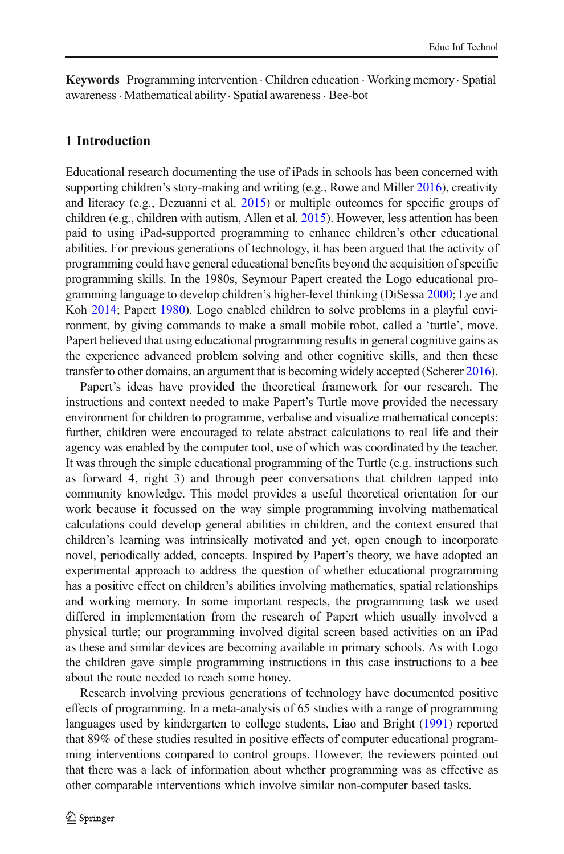Keywords Programming intervention . Children education . Working memory. Spatial awareness. Mathematical ability. Spatial awareness. Bee-bot

#### 1 Introduction

Educational research documenting the use of iPads in schools has been concerned with supporting children's story-making and writing (e.g., Rowe and Miller [2016](#page-10-0)), creativity and literacy (e.g., Dezuanni et al. [2015](#page-9-0)) or multiple outcomes for specific groups of children (e.g., children with autism, Allen et al. [2015](#page-9-0)). However, less attention has been paid to using iPad-supported programming to enhance children's other educational abilities. For previous generations of technology, it has been argued that the activity of programming could have general educational benefits beyond the acquisition of specific programming skills. In the 1980s, Seymour Papert created the Logo educational programming language to develop children's higher-level thinking (DiSessa [2000;](#page-9-0) Lye and Koh [2014;](#page-10-0) Papert [1980](#page-10-0)). Logo enabled children to solve problems in a playful environment, by giving commands to make a small mobile robot, called a 'turtle', move. Papert believed that using educational programming results in general cognitive gains as the experience advanced problem solving and other cognitive skills, and then these transfer to other domains, an argument that is becoming widely accepted (Scherer [2016\)](#page-10-0).

Papert's ideas have provided the theoretical framework for our research. The instructions and context needed to make Papert's Turtle move provided the necessary environment for children to programme, verbalise and visualize mathematical concepts: further, children were encouraged to relate abstract calculations to real life and their agency was enabled by the computer tool, use of which was coordinated by the teacher. It was through the simple educational programming of the Turtle (e.g. instructions such as forward 4, right 3) and through peer conversations that children tapped into community knowledge. This model provides a useful theoretical orientation for our work because it focussed on the way simple programming involving mathematical calculations could develop general abilities in children, and the context ensured that children's learning was intrinsically motivated and yet, open enough to incorporate novel, periodically added, concepts. Inspired by Papert's theory, we have adopted an experimental approach to address the question of whether educational programming has a positive effect on children's abilities involving mathematics, spatial relationships and working memory. In some important respects, the programming task we used differed in implementation from the research of Papert which usually involved a physical turtle; our programming involved digital screen based activities on an iPad as these and similar devices are becoming available in primary schools. As with Logo the children gave simple programming instructions in this case instructions to a bee about the route needed to reach some honey.

Research involving previous generations of technology have documented positive effects of programming. In a meta-analysis of 65 studies with a range of programming languages used by kindergarten to college students, Liao and Bright [\(1991\)](#page-10-0) reported that 89% of these studies resulted in positive effects of computer educational programming interventions compared to control groups. However, the reviewers pointed out that there was a lack of information about whether programming was as effective as other comparable interventions which involve similar non-computer based tasks.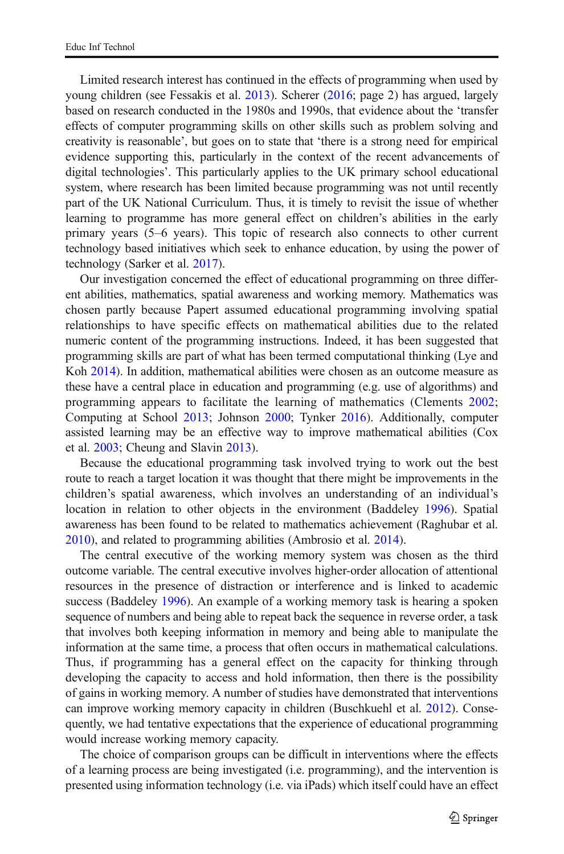Limited research interest has continued in the effects of programming when used by young children (see Fessakis et al. [2013\)](#page-10-0). Scherer [\(2016;](#page-10-0) page 2) has argued, largely based on research conducted in the 1980s and 1990s, that evidence about the 'transfer effects of computer programming skills on other skills such as problem solving and creativity is reasonable', but goes on to state that 'there is a strong need for empirical evidence supporting this, particularly in the context of the recent advancements of digital technologies'. This particularly applies to the UK primary school educational system, where research has been limited because programming was not until recently part of the UK National Curriculum. Thus, it is timely to revisit the issue of whether learning to programme has more general effect on children's abilities in the early primary years (5–6 years). This topic of research also connects to other current technology based initiatives which seek to enhance education, by using the power of technology (Sarker et al. [2017\)](#page-10-0).

Our investigation concerned the effect of educational programming on three different abilities, mathematics, spatial awareness and working memory. Mathematics was chosen partly because Papert assumed educational programming involving spatial relationships to have specific effects on mathematical abilities due to the related numeric content of the programming instructions. Indeed, it has been suggested that programming skills are part of what has been termed computational thinking (Lye and Koh [2014](#page-10-0)). In addition, mathematical abilities were chosen as an outcome measure as these have a central place in education and programming (e.g. use of algorithms) and programming appears to facilitate the learning of mathematics (Clements [2002;](#page-9-0) Computing at School [2013;](#page-9-0) Johnson [2000](#page-10-0); Tynker [2016\)](#page-10-0). Additionally, computer assisted learning may be an effective way to improve mathematical abilities (Cox et al. [2003;](#page-9-0) Cheung and Slavin [2013\)](#page-9-0).

Because the educational programming task involved trying to work out the best route to reach a target location it was thought that there might be improvements in the children's spatial awareness, which involves an understanding of an individual's location in relation to other objects in the environment (Baddeley [1996\)](#page-9-0). Spatial awareness has been found to be related to mathematics achievement (Raghubar et al. [2010\)](#page-10-0), and related to programming abilities (Ambrosio et al. [2014](#page-9-0)).

The central executive of the working memory system was chosen as the third outcome variable. The central executive involves higher-order allocation of attentional resources in the presence of distraction or interference and is linked to academic success (Baddeley [1996](#page-9-0)). An example of a working memory task is hearing a spoken sequence of numbers and being able to repeat back the sequence in reverse order, a task that involves both keeping information in memory and being able to manipulate the information at the same time, a process that often occurs in mathematical calculations. Thus, if programming has a general effect on the capacity for thinking through developing the capacity to access and hold information, then there is the possibility of gains in working memory. A number of studies have demonstrated that interventions can improve working memory capacity in children (Buschkuehl et al. [2012\)](#page-9-0). Consequently, we had tentative expectations that the experience of educational programming would increase working memory capacity.

The choice of comparison groups can be difficult in interventions where the effects of a learning process are being investigated (i.e. programming), and the intervention is presented using information technology (i.e. via iPads) which itself could have an effect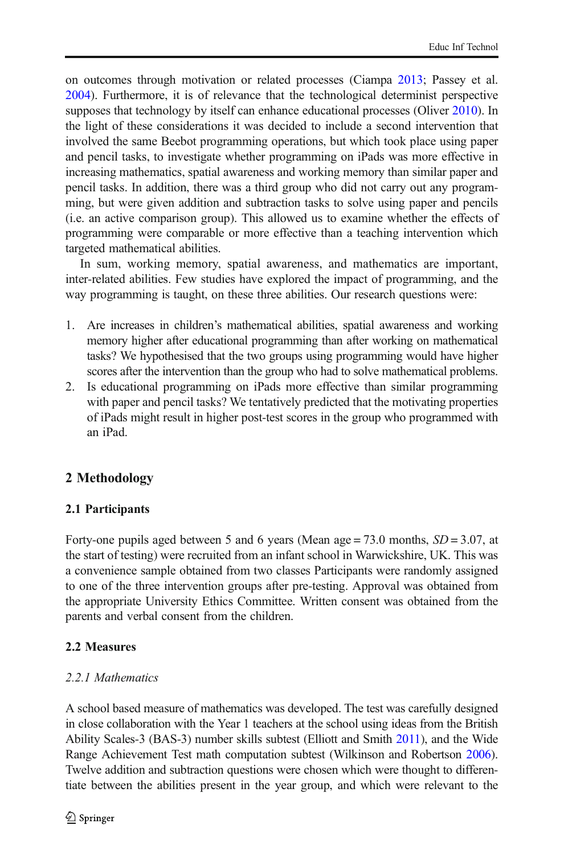on outcomes through motivation or related processes (Ciampa [2013;](#page-9-0) Passey et al. [2004\)](#page-10-0). Furthermore, it is of relevance that the technological determinist perspective supposes that technology by itself can enhance educational processes (Oliver [2010](#page-10-0)). In the light of these considerations it was decided to include a second intervention that involved the same Beebot programming operations, but which took place using paper and pencil tasks, to investigate whether programming on iPads was more effective in increasing mathematics, spatial awareness and working memory than similar paper and pencil tasks. In addition, there was a third group who did not carry out any programming, but were given addition and subtraction tasks to solve using paper and pencils (i.e. an active comparison group). This allowed us to examine whether the effects of programming were comparable or more effective than a teaching intervention which targeted mathematical abilities.

In sum, working memory, spatial awareness, and mathematics are important, inter-related abilities. Few studies have explored the impact of programming, and the way programming is taught, on these three abilities. Our research questions were:

- 1. Are increases in children's mathematical abilities, spatial awareness and working memory higher after educational programming than after working on mathematical tasks? We hypothesised that the two groups using programming would have higher scores after the intervention than the group who had to solve mathematical problems.
- 2. Is educational programming on iPads more effective than similar programming with paper and pencil tasks? We tentatively predicted that the motivating properties of iPads might result in higher post-test scores in the group who programmed with an iPad.

### 2 Methodology

#### 2.1 Participants

Forty-one pupils aged between 5 and 6 years (Mean age = 73.0 months,  $SD = 3.07$ , at the start of testing) were recruited from an infant school in Warwickshire, UK. This was a convenience sample obtained from two classes Participants were randomly assigned to one of the three intervention groups after pre-testing. Approval was obtained from the appropriate University Ethics Committee. Written consent was obtained from the parents and verbal consent from the children.

#### 2.2 Measures

#### 2.2.1 Mathematics

A school based measure of mathematics was developed. The test was carefully designed in close collaboration with the Year 1 teachers at the school using ideas from the British Ability Scales-3 (BAS-3) number skills subtest (Elliott and Smith [2011\)](#page-9-0), and the Wide Range Achievement Test math computation subtest (Wilkinson and Robertson [2006\)](#page-10-0). Twelve addition and subtraction questions were chosen which were thought to differentiate between the abilities present in the year group, and which were relevant to the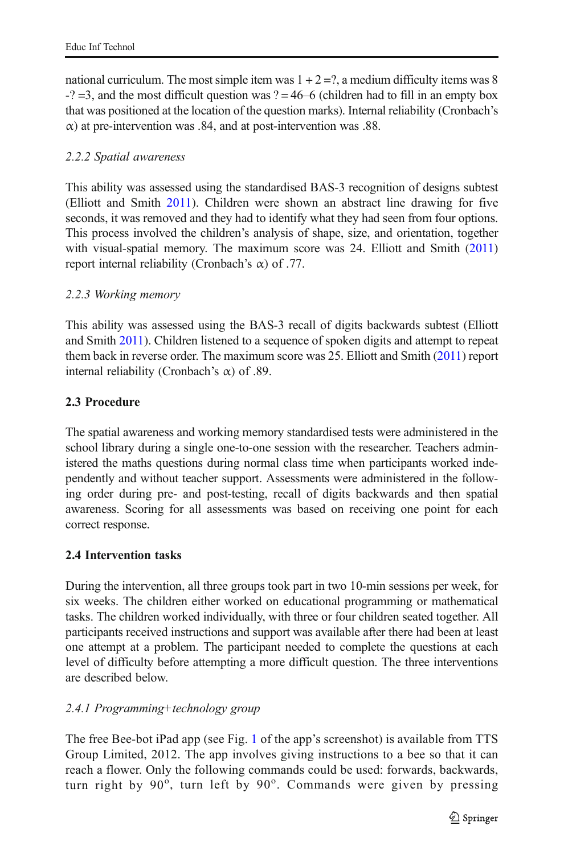national curriculum. The most simple item was  $1 + 2 = ?$ , a medium difficulty items was 8  $-2 = 3$ , and the most difficult question was  $2 = 46-6$  (children had to fill in an empty box that was positioned at the location of the question marks). Internal reliability (Cronbach's  $\alpha$ ) at pre-intervention was .84, and at post-intervention was .88.

#### 2.2.2 Spatial awareness

This ability was assessed using the standardised BAS-3 recognition of designs subtest (Elliott and Smith [2011](#page-9-0)). Children were shown an abstract line drawing for five seconds, it was removed and they had to identify what they had seen from four options. This process involved the children's analysis of shape, size, and orientation, together with visual-spatial memory. The maximum score was 24. Elliott and Smith ([2011](#page-9-0)) report internal reliability (Cronbach's α) of .77.

#### 2.2.3 Working memory

This ability was assessed using the BAS-3 recall of digits backwards subtest (Elliott and Smith [2011](#page-9-0)). Children listened to a sequence of spoken digits and attempt to repeat them back in reverse order. The maximum score was 25. Elliott and Smith ([2011](#page-9-0)) report internal reliability (Cronbach's  $\alpha$ ) of .89.

#### 2.3 Procedure

The spatial awareness and working memory standardised tests were administered in the school library during a single one-to-one session with the researcher. Teachers administered the maths questions during normal class time when participants worked independently and without teacher support. Assessments were administered in the following order during pre- and post-testing, recall of digits backwards and then spatial awareness. Scoring for all assessments was based on receiving one point for each correct response.

#### 2.4 Intervention tasks

During the intervention, all three groups took part in two 10-min sessions per week, for six weeks. The children either worked on educational programming or mathematical tasks. The children worked individually, with three or four children seated together. All participants received instructions and support was available after there had been at least one attempt at a problem. The participant needed to complete the questions at each level of difficulty before attempting a more difficult question. The three interventions are described below.

#### 2.4.1 Programming+technology group

The free Bee-bot iPad app (see Fig. [1](#page-6-0) of the app's screenshot) is available from TTS Group Limited, 2012. The app involves giving instructions to a bee so that it can reach a flower. Only the following commands could be used: forwards, backwards, turn right by  $90^\circ$ , turn left by  $90^\circ$ . Commands were given by pressing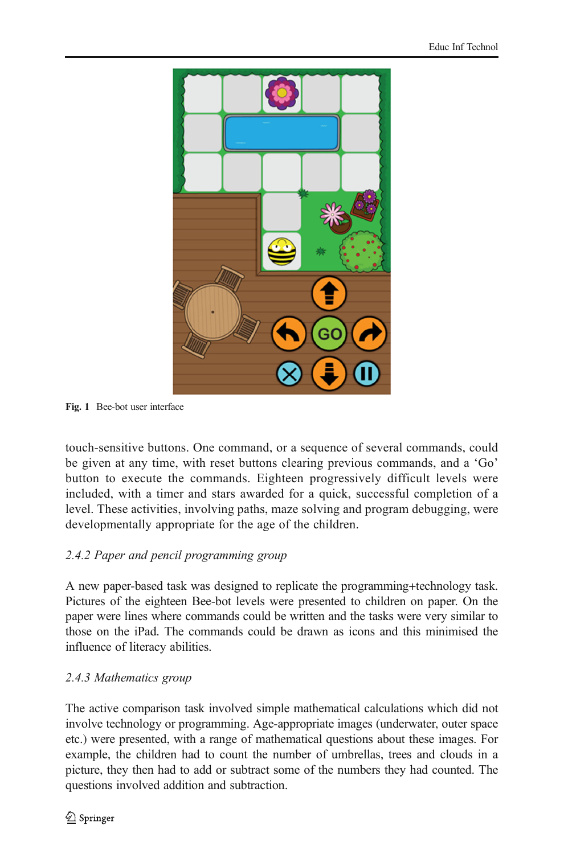<span id="page-6-0"></span>

Fig. 1 Bee-bot user interface

touch-sensitive buttons. One command, or a sequence of several commands, could be given at any time, with reset buttons clearing previous commands, and a 'Go' button to execute the commands. Eighteen progressively difficult levels were included, with a timer and stars awarded for a quick, successful completion of a level. These activities, involving paths, maze solving and program debugging, were developmentally appropriate for the age of the children.

#### 2.4.2 Paper and pencil programming group

A new paper-based task was designed to replicate the programming+technology task. Pictures of the eighteen Bee-bot levels were presented to children on paper. On the paper were lines where commands could be written and the tasks were very similar to those on the iPad. The commands could be drawn as icons and this minimised the influence of literacy abilities.

#### 2.4.3 Mathematics group

The active comparison task involved simple mathematical calculations which did not involve technology or programming. Age-appropriate images (underwater, outer space etc.) were presented, with a range of mathematical questions about these images. For example, the children had to count the number of umbrellas, trees and clouds in a picture, they then had to add or subtract some of the numbers they had counted. The questions involved addition and subtraction.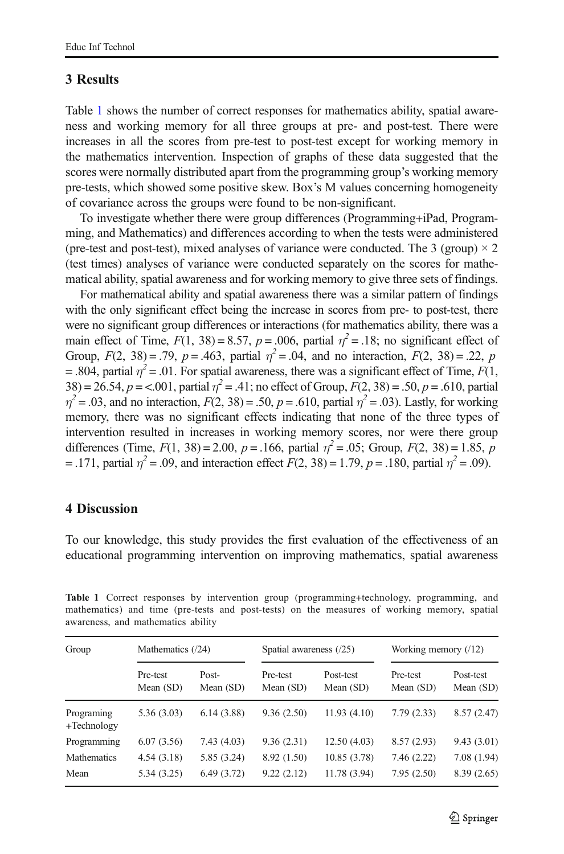#### 3 Results

Table 1 shows the number of correct responses for mathematics ability, spatial awareness and working memory for all three groups at pre- and post-test. There were increases in all the scores from pre-test to post-test except for working memory in the mathematics intervention. Inspection of graphs of these data suggested that the scores were normally distributed apart from the programming group's working memory pre-tests, which showed some positive skew. Box's M values concerning homogeneity of covariance across the groups were found to be non-significant.

To investigate whether there were group differences (Programming+iPad, Programming, and Mathematics) and differences according to when the tests were administered (pre-test and post-test), mixed analyses of variance were conducted. The 3 (group)  $\times$  2 (test times) analyses of variance were conducted separately on the scores for mathematical ability, spatial awareness and for working memory to give three sets of findings.

For mathematical ability and spatial awareness there was a similar pattern of findings with the only significant effect being the increase in scores from pre- to post-test, there were no significant group differences or interactions (for mathematics ability, there was a main effect of Time,  $F(1, 38) = 8.57$ ,  $p = .006$ , partial  $\eta^2 = .18$ ; no significant effect of Group,  $F(2, 38) = .79$ ,  $p = .463$ , partial  $\eta^2 = .04$ , and no interaction,  $F(2, 38) = .22$ , p = .804, partial  $\eta^2$  = .01. For spatial awareness, there was a significant effect of Time,  $F(1, 1)$  $38$ ) = 26.54, p = <.001, partial  $\eta^2$  = .41; no effect of Group,  $F(2, 38)$  = .50, p = .610, partial  $\eta^2$  = .03, and no interaction,  $F(2, 38)$  = .50, p = .610, partial  $\eta^2$  = .03). Lastly, for working memory, there was no significant effects indicating that none of the three types of intervention resulted in increases in working memory scores, nor were there group differences (Time,  $F(1, 38) = 2.00$ ,  $p = .166$ , partial  $\eta^2 = .05$ ; Group,  $F(2, 38) = 1.85$ , p = .171, partial  $\eta^2$  = .09, and interaction effect  $F(2, 38)$  = 1.79, p = .180, partial  $\eta^2$  = .09).

#### 4 Discussion

To our knowledge, this study provides the first evaluation of the effectiveness of an educational programming intervention on improving mathematics, spatial awareness

| Group                     | Mathematics (/24)     |                    | Spatial awareness (/25) |                        | Working memory $(12)$ |                        |
|---------------------------|-----------------------|--------------------|-------------------------|------------------------|-----------------------|------------------------|
|                           | Pre-test<br>Mean (SD) | Post-<br>Mean (SD) | Pre-test<br>Mean $(SD)$ | Post-test<br>Mean (SD) | Pre-test<br>Mean (SD) | Post-test<br>Mean (SD) |
| Programing<br>+Technology | 5.36 (3.03)           | 6.14(3.88)         | 9.36(2.50)              | 11.93(4.10)            | 7.79(2.33)            | 8.57(2.47)             |
| Programming               | 6.07(3.56)            | 7.43(4.03)         | 9.36(2.31)              | 12.50(4.03)            | 8.57(2.93)            | 9.43(3.01)             |
| <b>Mathematics</b>        | 4.54(3.18)            | 5.85 (3.24)        | 8.92 (1.50)             | 10.85(3.78)            | 7.46(2.22)            | 7.08(1.94)             |
| Mean                      | 5.34(3.25)            | 6.49(3.72)         | 9.22(2.12)              | 11.78 (3.94)           | 7.95(2.50)            | 8.39(2.65)             |

Table 1 Correct responses by intervention group (programming+technology, programming, and mathematics) and time (pre-tests and post-tests) on the measures of working memory, spatial awareness, and mathematics ability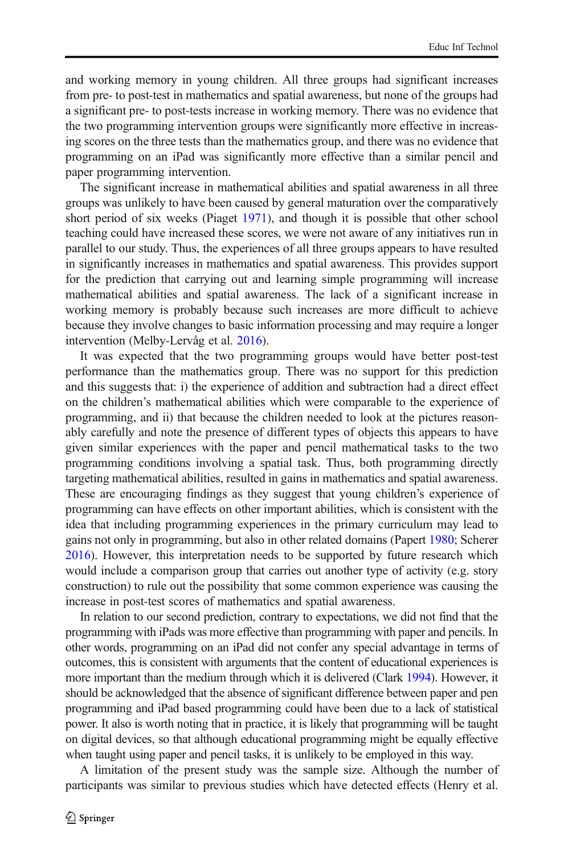and working memory in young children. All three groups had significant increases from pre- to post-test in mathematics and spatial awareness, but none of the groups had a significant pre- to post-tests increase in working memory. There was no evidence that the two programming intervention groups were significantly more effective in increasing scores on the three tests than the mathematics group, and there was no evidence that programming on an iPad was significantly more effective than a similar pencil and paper programming intervention.

The significant increase in mathematical abilities and spatial awareness in all three groups was unlikely to have been caused by general maturation over the comparatively short period of six weeks (Piaget [1971](#page-10-0)), and though it is possible that other school teaching could have increased these scores, we were not aware of any initiatives run in parallel to our study. Thus, the experiences of all three groups appears to have resulted in significantly increases in mathematics and spatial awareness. This provides support for the prediction that carrying out and learning simple programming will increase mathematical abilities and spatial awareness. The lack of a significant increase in working memory is probably because such increases are more difficult to achieve because they involve changes to basic information processing and may require a longer intervention (Melby-Lervåg et al. [2016](#page-10-0)).

It was expected that the two programming groups would have better post-test performance than the mathematics group. There was no support for this prediction and this suggests that: i) the experience of addition and subtraction had a direct effect on the children's mathematical abilities which were comparable to the experience of programming, and ii) that because the children needed to look at the pictures reasonably carefully and note the presence of different types of objects this appears to have given similar experiences with the paper and pencil mathematical tasks to the two programming conditions involving a spatial task. Thus, both programming directly targeting mathematical abilities, resulted in gains in mathematics and spatial awareness. These are encouraging findings as they suggest that young children's experience of programming can have effects on other important abilities, which is consistent with the idea that including programming experiences in the primary curriculum may lead to gains not only in programming, but also in other related domains (Papert [1980;](#page-10-0) Scherer [2016\)](#page-10-0). However, this interpretation needs to be supported by future research which would include a comparison group that carries out another type of activity (e.g. story construction) to rule out the possibility that some common experience was causing the increase in post-test scores of mathematics and spatial awareness.

In relation to our second prediction, contrary to expectations, we did not find that the programming with iPads was more effective than programming with paper and pencils. In other words, programming on an iPad did not confer any special advantage in terms of outcomes, this is consistent with arguments that the content of educational experiences is more important than the medium through which it is delivered (Clark [1994\)](#page-9-0). However, it should be acknowledged that the absence of significant difference between paper and pen programming and iPad based programming could have been due to a lack of statistical power. It also is worth noting that in practice, it is likely that programming will be taught on digital devices, so that although educational programming might be equally effective when taught using paper and pencil tasks, it is unlikely to be employed in this way.

A limitation of the present study was the sample size. Although the number of participants was similar to previous studies which have detected effects (Henry et al.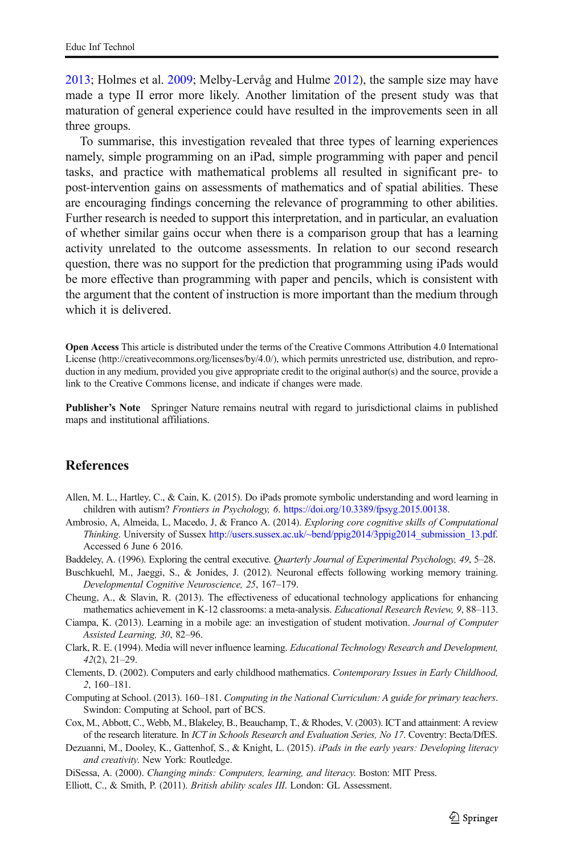<span id="page-9-0"></span>[2013;](#page-10-0) Holmes et al. [2009](#page-10-0); Melby-Lervåg and Hulme [2012\)](#page-10-0), the sample size may have made a type II error more likely. Another limitation of the present study was that maturation of general experience could have resulted in the improvements seen in all three groups.

To summarise, this investigation revealed that three types of learning experiences namely, simple programming on an iPad, simple programming with paper and pencil tasks, and practice with mathematical problems all resulted in significant pre- to post-intervention gains on assessments of mathematics and of spatial abilities. These are encouraging findings concerning the relevance of programming to other abilities. Further research is needed to support this interpretation, and in particular, an evaluation of whether similar gains occur when there is a comparison group that has a learning activity unrelated to the outcome assessments. In relation to our second research question, there was no support for the prediction that programming using iPads would be more effective than programming with paper and pencils, which is consistent with the argument that the content of instruction is more important than the medium through which it is delivered.

Open Access This article is distributed under the terms of the Creative Commons Attribution 4.0 International License (http://creativecommons.org/licenses/by/4.0/), which permits unrestricted use, distribution, and reproduction in any medium, provided you give appropriate credit to the original author(s) and the source, provide a link to the Creative Commons license, and indicate if changes were made.

Publisher's Note Springer Nature remains neutral with regard to jurisdictional claims in published maps and institutional affiliations.

#### **References**

- Allen, M. L., Hartley, C., & Cain, K. (2015). Do iPads promote symbolic understanding and word learning in children with autism? Frontiers in Psychology, 6. [https://doi.org/10.3389/fpsyg.2015.00138.](https://doi.org/10.3389/fpsyg.2015.00138)
- Ambrosio, A, Almeida, L, Macedo, J, & Franco A. (2014). Exploring core cognitive skills of Computational Thinking. University of Sussex [http://users.sussex.ac.uk/~bend/ppig2014/3ppig2014\\_submission\\_13.pdf](http://users.sussex.ac.uk/~bend/ppig2014/3ppig2014_submission_13.pdf). Accessed 6 June 6 2016.
- Baddeley, A. (1996). Exploring the central executive. Quarterly Journal of Experimental Psychology, 49, 5–28.
- Buschkuehl, M., Jaeggi, S., & Jonides, J. (2012). Neuronal effects following working memory training. Developmental Cognitive Neuroscience, 25, 167–179.
- Cheung, A., & Slavin, R. (2013). The effectiveness of educational technology applications for enhancing mathematics achievement in K-12 classrooms: a meta-analysis. Educational Research Review, 9, 88–113.
- Ciampa, K. (2013). Learning in a mobile age: an investigation of student motivation. Journal of Computer Assisted Learning, 30, 82–96.
- Clark, R. E. (1994). Media will never influence learning. Educational Technology Research and Development, 42(2), 21–29.
- Clements, D. (2002). Computers and early childhood mathematics. Contemporary Issues in Early Childhood, 2, 160–181.
- Computing at School. (2013). 160–181. Computing in the National Curriculum: A guide for primary teachers. Swindon: Computing at School, part of BCS.
- Cox, M., Abbott, C., Webb, M., Blakeley, B., Beauchamp, T., & Rhodes, V. (2003). ICT and attainment: A review of the research literature. In ICT in Schools Research and Evaluation Series, No 17. Coventry: Becta/DfES.
- Dezuanni, M., Dooley, K., Gattenhof, S., & Knight, L. (2015). iPads in the early years: Developing literacy and creativity. New York: Routledge.

DiSessa, A. (2000). Changing minds: Computers, learning, and literacy. Boston: MIT Press.

Elliott, C., & Smith, P. (2011). British ability scales III. London: GL Assessment.